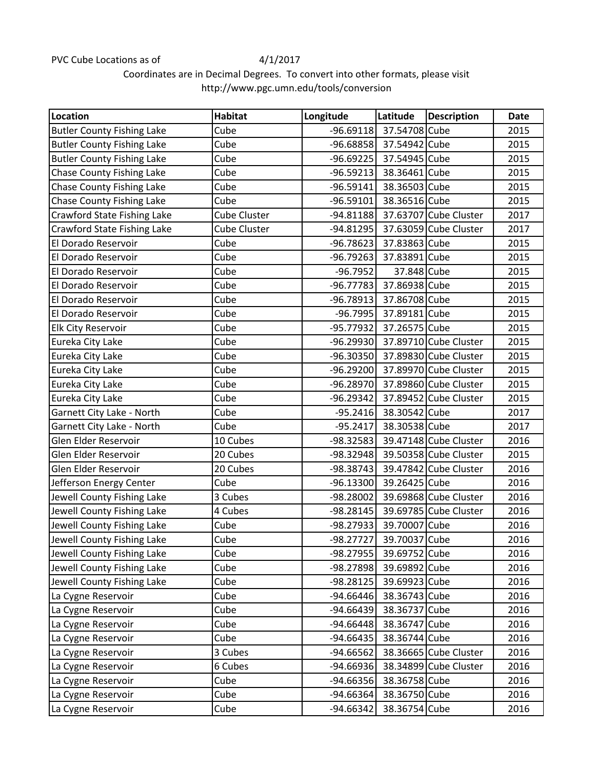## PVC Cube Locations as of  $4/1/2017$

## Coordinates are in Decimal Degrees. To convert into other formats, please visit http://www.pgc.umn.edu/tools/conversion

| Location                           | <b>Habitat</b>      | Longitude   | Latitude                  | <b>Description</b>              | <b>Date</b> |
|------------------------------------|---------------------|-------------|---------------------------|---------------------------------|-------------|
| <b>Butler County Fishing Lake</b>  | Cube                |             | -96.69118 37.54708 Cube   |                                 | 2015        |
| <b>Butler County Fishing Lake</b>  | Cube                | $-96.68858$ | 37.54942 Cube             |                                 | 2015        |
| <b>Butler County Fishing Lake</b>  | Cube                |             | -96.69225 37.54945 Cube   |                                 | 2015        |
| Chase County Fishing Lake          | Cube                |             | $-96.59213$ 38.36461 Cube |                                 | 2015        |
| Chase County Fishing Lake          | Cube                | $-96.59141$ | 38.36503 Cube             |                                 | 2015        |
| Chase County Fishing Lake          | Cube                | $-96.59101$ | 38.36516 Cube             |                                 | 2015        |
| <b>Crawford State Fishing Lake</b> | <b>Cube Cluster</b> | $-94.81188$ |                           | 37.63707 Cube Cluster           | 2017        |
| Crawford State Fishing Lake        | <b>Cube Cluster</b> |             |                           | -94.81295 37.63059 Cube Cluster | 2017        |
| El Dorado Reservoir                | Cube                | $-96.78623$ | 37.83863 Cube             |                                 | 2015        |
| El Dorado Reservoir                | Cube                | $-96.79263$ | 37.83891 Cube             |                                 | 2015        |
| El Dorado Reservoir                | Cube                | $-96.7952$  | 37.848 Cube               |                                 | 2015        |
| El Dorado Reservoir                | Cube                | $-96.77783$ | 37.86938 Cube             |                                 | 2015        |
| El Dorado Reservoir                | Cube                | $-96.78913$ | 37.86708 Cube             |                                 | 2015        |
| El Dorado Reservoir                | Cube                | $-96.7995$  | 37.89181 Cube             |                                 | 2015        |
| <b>Elk City Reservoir</b>          | Cube                | $-95.77932$ | 37.26575 Cube             |                                 | 2015        |
| Eureka City Lake                   | Cube                |             |                           | -96.29930 37.89710 Cube Cluster | 2015        |
| Eureka City Lake                   | Cube                |             |                           | -96.30350 37.89830 Cube Cluster | 2015        |
| Eureka City Lake                   | Cube                |             |                           | -96.29200 37.89970 Cube Cluster | 2015        |
| Eureka City Lake                   | Cube                | $-96.28970$ |                           | 37.89860 Cube Cluster           | 2015        |
| Eureka City Lake                   | Cube                | $-96.29342$ |                           | 37.89452 Cube Cluster           | 2015        |
| Garnett City Lake - North          | Cube                | $-95.2416$  | 38.30542 Cube             |                                 | 2017        |
| Garnett City Lake - North          | Cube                | $-95.2417$  | 38.30538 Cube             |                                 | 2017        |
| Glen Elder Reservoir               | 10 Cubes            |             |                           | -98.32583 39.47148 Cube Cluster | 2016        |
| Glen Elder Reservoir               | 20 Cubes            | $-98.32948$ |                           | 39.50358 Cube Cluster           | 2015        |
| Glen Elder Reservoir               | 20 Cubes            | $-98.38743$ |                           | 39.47842 Cube Cluster           | 2016        |
| Jefferson Energy Center            | Cube                | $-96.13300$ | 39.26425 Cube             |                                 | 2016        |
| Jewell County Fishing Lake         | 3 Cubes             | $-98.28002$ |                           | 39.69868 Cube Cluster           | 2016        |
| Jewell County Fishing Lake         | 4 Cubes             | $-98.28145$ |                           | 39.69785 Cube Cluster           | 2016        |
| Jewell County Fishing Lake         | Cube                | $-98.27933$ | 39.70007 Cube             |                                 | 2016        |
| Jewell County Fishing Lake         | Cube                | $-98.27727$ | 39.70037 Cube             |                                 | 2016        |
| Jewell County Fishing Lake         | Cube                | $-98.27955$ | 39.69752 Cube             |                                 | 2016        |
| Jewell County Fishing Lake         | Cube                | $-98.27898$ | 39.69892 Cube             |                                 | 2016        |
| Jewell County Fishing Lake         | Cube                | $-98.28125$ | 39.69923 Cube             |                                 | 2016        |
| La Cygne Reservoir                 | Cube                | $-94.66446$ | 38.36743 Cube             |                                 | 2016        |
| La Cygne Reservoir                 | Cube                | $-94.66439$ | 38.36737 Cube             |                                 | 2016        |
| La Cygne Reservoir                 | Cube                | $-94.66448$ | 38.36747 Cube             |                                 | 2016        |
| La Cygne Reservoir                 | Cube                | $-94.66435$ | 38.36744 Cube             |                                 | 2016        |
| La Cygne Reservoir                 | 3 Cubes             | $-94.66562$ |                           | 38.36665 Cube Cluster           | 2016        |
| La Cygne Reservoir                 | 6 Cubes             | $-94.66936$ |                           | 38.34899 Cube Cluster           | 2016        |
| La Cygne Reservoir                 | Cube                | $-94.66356$ | 38.36758 Cube             |                                 | 2016        |
| La Cygne Reservoir                 | Cube                | $-94.66364$ | 38.36750 Cube             |                                 | 2016        |
| La Cygne Reservoir                 | Cube                | $-94.66342$ | 38.36754 Cube             |                                 | 2016        |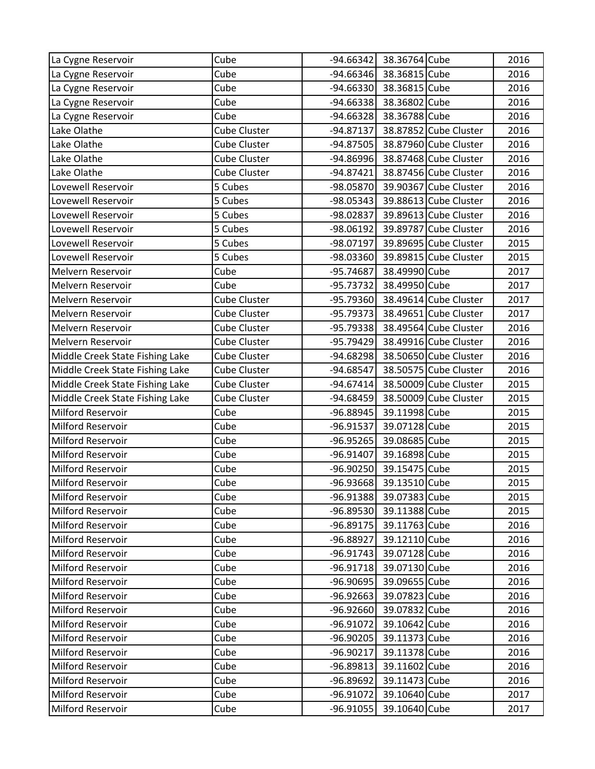| La Cygne Reservoir              | Cube                |                         | -94.66342 38.36764 Cube   |                                 | 2016 |
|---------------------------------|---------------------|-------------------------|---------------------------|---------------------------------|------|
| La Cygne Reservoir              | Cube                |                         | $-94.66346$ 38.36815 Cube |                                 | 2016 |
| La Cygne Reservoir              | Cube                | $-94.66330$             | 38.36815 Cube             |                                 | 2016 |
| La Cygne Reservoir              | Cube                | $-94.66338$             | 38.36802 Cube             |                                 | 2016 |
| La Cygne Reservoir              | Cube                | $-94.66328$             | 38.36788 Cube             |                                 | 2016 |
| Lake Olathe                     | <b>Cube Cluster</b> | $-94.87137$             |                           | 38.87852 Cube Cluster           | 2016 |
| Lake Olathe                     | <b>Cube Cluster</b> |                         |                           | -94.87505 38.87960 Cube Cluster | 2016 |
| Lake Olathe                     | <b>Cube Cluster</b> | $-94.86996$             |                           | 38.87468 Cube Cluster           | 2016 |
| Lake Olathe                     | <b>Cube Cluster</b> | $-94.87421$             |                           | 38.87456 Cube Cluster           | 2016 |
| Lovewell Reservoir              | 5 Cubes             |                         |                           | -98.05870 39.90367 Cube Cluster | 2016 |
| Lovewell Reservoir              | 5 Cubes             | $-98.05343$             |                           | 39.88613 Cube Cluster           | 2016 |
| Lovewell Reservoir              | 5 Cubes             | $-98.02837$             |                           | 39.89613 Cube Cluster           | 2016 |
| Lovewell Reservoir              | 5 Cubes             | $-98.06192$             |                           | 39.89787 Cube Cluster           | 2016 |
| Lovewell Reservoir              | 5 Cubes             |                         |                           | -98.07197 39.89695 Cube Cluster | 2015 |
| Lovewell Reservoir              | 5 Cubes             | $-98.03360$             |                           | 39.89815 Cube Cluster           | 2015 |
| Melvern Reservoir               | Cube                | $-95.74687$             | 38.49990 Cube             |                                 | 2017 |
| Melvern Reservoir               | Cube                | $-95.73732$             | 38.49950 Cube             |                                 | 2017 |
| Melvern Reservoir               | <b>Cube Cluster</b> | $-95.79360$             |                           | 38.49614 Cube Cluster           | 2017 |
| Melvern Reservoir               | <b>Cube Cluster</b> | $-95.79373$             |                           | 38.49651 Cube Cluster           | 2017 |
| Melvern Reservoir               | <b>Cube Cluster</b> | $-95.79338$             |                           | 38.49564 Cube Cluster           | 2016 |
| Melvern Reservoir               | <b>Cube Cluster</b> |                         |                           | -95.79429 38.49916 Cube Cluster | 2016 |
| Middle Creek State Fishing Lake | <b>Cube Cluster</b> | $-94.68298$             |                           | 38.50650 Cube Cluster           | 2016 |
| Middle Creek State Fishing Lake | <b>Cube Cluster</b> | $-94.68547$             |                           | 38.50575 Cube Cluster           | 2016 |
| Middle Creek State Fishing Lake | Cube Cluster        |                         |                           | -94.67414 38.50009 Cube Cluster | 2015 |
| Middle Creek State Fishing Lake | <b>Cube Cluster</b> | $-94.68459$             |                           | 38.50009 Cube Cluster           | 2015 |
| <b>Milford Reservoir</b>        | Cube                | $-96.88945$             | 39.11998 Cube             |                                 | 2015 |
| <b>Milford Reservoir</b>        | Cube                | $-96.91537$             | 39.07128 Cube             |                                 | 2015 |
| Milford Reservoir               | Cube                | $-96.95265$             | 39.08685 Cube             |                                 | 2015 |
| <b>Milford Reservoir</b>        | Cube                | $-96.91407$             | 39.16898 Cube             |                                 | 2015 |
| <b>Milford Reservoir</b>        | Cube                | $-96.90250$             | 39.15475 Cube             |                                 | 2015 |
| <b>Milford Reservoir</b>        | Cube                | $-96.93668$             | 39.13510 Cube             |                                 | 2015 |
| <b>Milford Reservoir</b>        | Cube                | $-96.91388$             | 39.07383 Cube             |                                 | 2015 |
| <b>Milford Reservoir</b>        | Cube                | -96.89530 39.11388 Cube |                           |                                 | 2015 |
| <b>Milford Reservoir</b>        | Cube                | $-96.89175$             | 39.11763 Cube             |                                 | 2016 |
| <b>Milford Reservoir</b>        | Cube                | -96.88927               | 39.12110 Cube             |                                 | 2016 |
| <b>Milford Reservoir</b>        | Cube                | $-96.91743$             | 39.07128 Cube             |                                 | 2016 |
| <b>Milford Reservoir</b>        | Cube                | $-96.91718$             | 39.07130 Cube             |                                 | 2016 |
| Milford Reservoir               | Cube                | -96.90695               | 39.09655 Cube             |                                 | 2016 |
| <b>Milford Reservoir</b>        | Cube                | $-96.92663$             | 39.07823 Cube             |                                 | 2016 |
| <b>Milford Reservoir</b>        | Cube                | $-96.92660$             | 39.07832 Cube             |                                 | 2016 |
| <b>Milford Reservoir</b>        | Cube                | -96.91072               | 39.10642 Cube             |                                 | 2016 |
| <b>Milford Reservoir</b>        | Cube                | $-96.90205$             | 39.11373 Cube             |                                 | 2016 |
| <b>Milford Reservoir</b>        | Cube                | $-96.90217$             | 39.11378 Cube             |                                 | 2016 |
| <b>Milford Reservoir</b>        | Cube                | -96.89813               | 39.11602 Cube             |                                 | 2016 |
| <b>Milford Reservoir</b>        | Cube                | $-96.89692$             | 39.11473 Cube             |                                 | 2016 |
| <b>Milford Reservoir</b>        | Cube                | $-96.91072$             | 39.10640 Cube             |                                 | 2017 |
| <b>Milford Reservoir</b>        | Cube                | $-96.91055$             | 39.10640 Cube             |                                 | 2017 |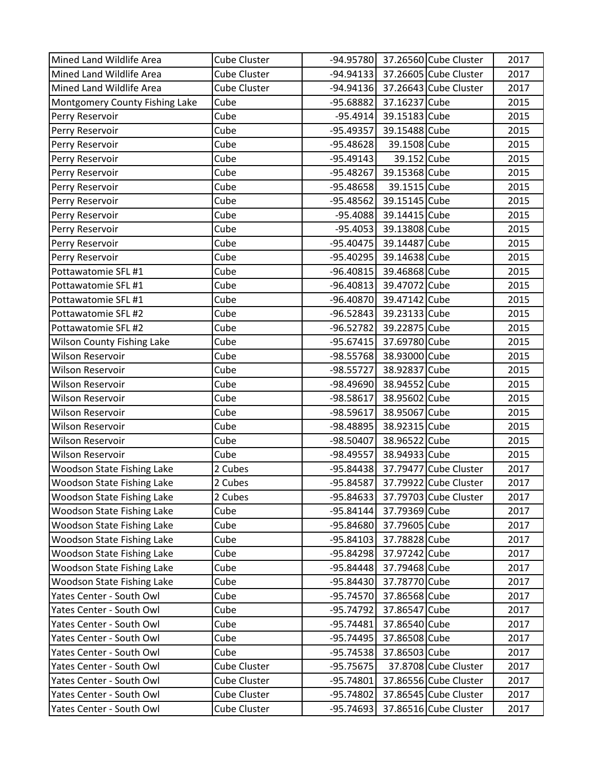| Mined Land Wildlife Area          | <b>Cube Cluster</b> |             |                         | -94.95780 37.26560 Cube Cluster | 2017 |
|-----------------------------------|---------------------|-------------|-------------------------|---------------------------------|------|
| Mined Land Wildlife Area          | <b>Cube Cluster</b> |             |                         | -94.94133 37.26605 Cube Cluster | 2017 |
| Mined Land Wildlife Area          | <b>Cube Cluster</b> |             |                         | -94.94136 37.26643 Cube Cluster | 2017 |
| Montgomery County Fishing Lake    | Cube                | $-95.68882$ | 37.16237 Cube           |                                 | 2015 |
| Perry Reservoir                   | Cube                | $-95.4914$  | 39.15183 Cube           |                                 | 2015 |
| Perry Reservoir                   | Cube                | $-95.49357$ | 39.15488 Cube           |                                 | 2015 |
| Perry Reservoir                   | Cube                | $-95.48628$ | 39.1508 Cube            |                                 | 2015 |
| Perry Reservoir                   | Cube                | $-95.49143$ | 39.152 Cube             |                                 | 2015 |
| Perry Reservoir                   | Cube                | $-95.48267$ | 39.15368 Cube           |                                 | 2015 |
| Perry Reservoir                   | Cube                | $-95.48658$ | 39.1515 Cube            |                                 | 2015 |
| Perry Reservoir                   | Cube                | $-95.48562$ | 39.15145 Cube           |                                 | 2015 |
| Perry Reservoir                   | Cube                | $-95.4088$  | 39.14415 Cube           |                                 | 2015 |
| Perry Reservoir                   | Cube                | $-95.4053$  | 39.13808 Cube           |                                 | 2015 |
| Perry Reservoir                   | Cube                | $-95.40475$ | 39.14487 Cube           |                                 | 2015 |
| Perry Reservoir                   | Cube                | $-95.40295$ | 39.14638 Cube           |                                 | 2015 |
| Pottawatomie SFL #1               | Cube                | $-96.40815$ | 39.46868 Cube           |                                 | 2015 |
| Pottawatomie SFL #1               | Cube                | $-96.40813$ | 39.47072 Cube           |                                 | 2015 |
| Pottawatomie SFL #1               | Cube                | $-96.40870$ | 39.47142 Cube           |                                 | 2015 |
| Pottawatomie SFL #2               | Cube                | $-96.52843$ | 39.23133 Cube           |                                 | 2015 |
| Pottawatomie SFL #2               | Cube                | $-96.52782$ | 39.22875 Cube           |                                 | 2015 |
| Wilson County Fishing Lake        | Cube                |             | -95.67415 37.69780 Cube |                                 | 2015 |
| <b>Wilson Reservoir</b>           | Cube                | $-98.55768$ | 38.93000 Cube           |                                 | 2015 |
| Wilson Reservoir                  | Cube                | $-98.55727$ | 38.92837 Cube           |                                 | 2015 |
| Wilson Reservoir                  | Cube                | $-98.49690$ | 38.94552 Cube           |                                 | 2015 |
| Wilson Reservoir                  | Cube                | $-98.58617$ | 38.95602 Cube           |                                 | 2015 |
| Wilson Reservoir                  | Cube                | $-98.59617$ | 38.95067 Cube           |                                 | 2015 |
| Wilson Reservoir                  | Cube                | $-98.48895$ | 38.92315 Cube           |                                 | 2015 |
| <b>Wilson Reservoir</b>           | Cube                | $-98.50407$ | 38.96522 Cube           |                                 | 2015 |
| <b>Wilson Reservoir</b>           | Cube                | $-98.49557$ | 38.94933 Cube           |                                 | 2015 |
| Woodson State Fishing Lake        | 2 Cubes             | $-95.84438$ |                         | 37.79477 Cube Cluster           | 2017 |
| Woodson State Fishing Lake        | 2 Cubes             | $-95.84587$ |                         | 37.79922 Cube Cluster           | 2017 |
| <b>Woodson State Fishing Lake</b> | 2 Cubes             | $-95.84633$ |                         | 37.79703 Cube Cluster           | 2017 |
| <b>Woodson State Fishing Lake</b> | Cube                | $-95.84144$ | 37.79369 Cube           |                                 | 2017 |
| Woodson State Fishing Lake        | Cube                | $-95.84680$ | 37.79605 Cube           |                                 | 2017 |
| <b>Woodson State Fishing Lake</b> | Cube                | $-95.84103$ | 37.78828 Cube           |                                 | 2017 |
| <b>Woodson State Fishing Lake</b> | Cube                | $-95.84298$ | 37.97242 Cube           |                                 | 2017 |
| <b>Woodson State Fishing Lake</b> | Cube                | $-95.84448$ | 37.79468 Cube           |                                 | 2017 |
| <b>Woodson State Fishing Lake</b> | Cube                | $-95.84430$ | 37.78770 Cube           |                                 | 2017 |
| Yates Center - South Owl          | Cube                | $-95.74570$ | 37.86568 Cube           |                                 | 2017 |
| Yates Center - South Owl          | Cube                | -95.74792   | 37.86547 Cube           |                                 | 2017 |
| Yates Center - South Owl          | Cube                | $-95.74481$ | 37.86540 Cube           |                                 | 2017 |
| Yates Center - South Owl          | Cube                | $-95.74495$ | 37.86508 Cube           |                                 | 2017 |
| Yates Center - South Owl          | Cube                | $-95.74538$ | 37.86503 Cube           |                                 | 2017 |
| Yates Center - South Owl          | Cube Cluster        | -95.75675   |                         | 37.8708 Cube Cluster            | 2017 |
| Yates Center - South Owl          | Cube Cluster        | -95.74801   |                         | 37.86556 Cube Cluster           | 2017 |
| Yates Center - South Owl          | Cube Cluster        | -95.74802   |                         | 37.86545 Cube Cluster           | 2017 |
| Yates Center - South Owl          | Cube Cluster        | $-95.74693$ |                         | 37.86516 Cube Cluster           | 2017 |